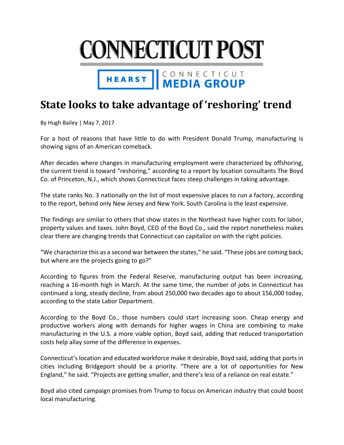

## HEARST | CONNECTICUT

## **State looks to take advantage of 'reshoring' trend**

By Hugh Bailey | May 7, 2017

For a host of reasons that have little to do with President Donald Trump, manufacturing is showing signs of an American comeback.

After decades where changes in manufacturing employment were characterized by offshoring, the current trend is toward "reshoring," according to a report by location consultants The Boyd Co. of Princeton, N.J., which shows Connecticut faces steep challenges in taking advantage.

The state ranks No. 3 nationally on the list of most expensive places to run a factory, according to the report, behind only New Jersey and New York. South Carolina is the least expensive.

The findings are similar to others that show states in the Northeast have higher costs for labor, property values and taxes. John Boyd, CEO of the Boyd Co., said the report nonetheless makes clear there are changing trends that Connecticut can capitalize on with the right policies.

"We characterize this as a second war between the states," he said. "These jobs are coming back, but where are the projects going to go?"

According to figures from the Federal Reserve, manufacturing output has been increasing, reaching a 16‐month high in March. At the same time, the number of jobs in Connecticut has continued a long, steady decline, from about 250,000 two decades ago to about 156,000 today, according to the state Labor Department.

According to the Boyd Co., those numbers could start increasing soon. Cheap energy and productive workers along with demands for higher wages in China are combining to make manufacturing in the U.S. a more viable option, Boyd said, adding that reduced transportation costs help allay some of the difference in expenses.

Connecticut's location and educated workforce make it desirable, Boyd said, adding that ports in cities including Bridgeport should be a priority. "There are a lot of opportunities for New England," he said. "Projects are getting smaller, and there's less of a reliance on real estate."

Boyd also cited campaign promises from Trump to focus on American industry that could boost local manufacturing.